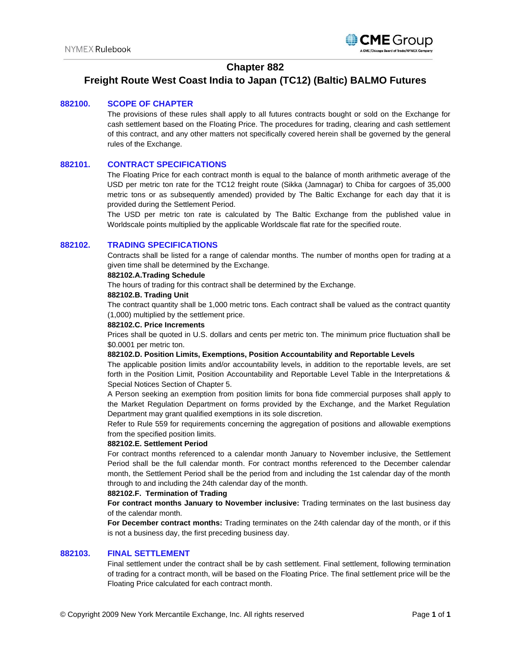

# **Chapter 882**

# **Freight Route West Coast India to Japan (TC12) (Baltic) BALMO Futures**

## **882100. SCOPE OF CHAPTER**

The provisions of these rules shall apply to all futures contracts bought or sold on the Exchange for cash settlement based on the Floating Price. The procedures for trading, clearing and cash settlement of this contract, and any other matters not specifically covered herein shall be governed by the general rules of the Exchange.

# **882101. CONTRACT SPECIFICATIONS**

The Floating Price for each contract month is equal to the balance of month arithmetic average of the USD per metric ton rate for the TC12 freight route (Sikka (Jamnagar) to Chiba for cargoes of 35,000 metric tons or as subsequently amended) provided by The Baltic Exchange for each day that it is provided during the Settlement Period.

The USD per metric ton rate is calculated by The Baltic Exchange from the published value in Worldscale points multiplied by the applicable Worldscale flat rate for the specified route.

## **882102. TRADING SPECIFICATIONS**

Contracts shall be listed for a range of calendar months. The number of months open for trading at a given time shall be determined by the Exchange.

#### **882102.A.Trading Schedule**

The hours of trading for this contract shall be determined by the Exchange.

#### **882102.B. Trading Unit**

The contract quantity shall be 1,000 metric tons. Each contract shall be valued as the contract quantity (1,000) multiplied by the settlement price.

#### **882102.C. Price Increments**

Prices shall be quoted in U.S. dollars and cents per metric ton. The minimum price fluctuation shall be \$0.0001 per metric ton.

## **882102.D. Position Limits, Exemptions, Position Accountability and Reportable Levels**

The applicable position limits and/or accountability levels, in addition to the reportable levels, are set forth in the Position Limit, Position Accountability and Reportable Level Table in the Interpretations & Special Notices Section of Chapter 5.

A Person seeking an exemption from position limits for bona fide commercial purposes shall apply to the Market Regulation Department on forms provided by the Exchange, and the Market Regulation Department may grant qualified exemptions in its sole discretion.

Refer to Rule 559 for requirements concerning the aggregation of positions and allowable exemptions from the specified position limits.

#### **882102.E. Settlement Period**

For contract months referenced to a calendar month January to November inclusive, the Settlement Period shall be the full calendar month. For contract months referenced to the December calendar month, the Settlement Period shall be the period from and including the 1st calendar day of the month through to and including the 24th calendar day of the month.

#### **882102.F. Termination of Trading**

**For contract months January to November inclusive:** Trading terminates on the last business day of the calendar month.

**For December contract months:** Trading terminates on the 24th calendar day of the month, or if this is not a business day, the first preceding business day.

## **882103. FINAL SETTLEMENT**

Final settlement under the contract shall be by cash settlement. Final settlement, following termination of trading for a contract month, will be based on the Floating Price. The final settlement price will be the Floating Price calculated for each contract month.